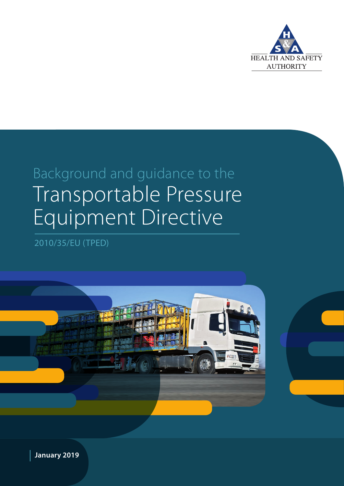

Magenta 76%

## Background and guidance to the Transportable Pressure Equipment Directive

2010/35/EU (TPED)



 **January 2019**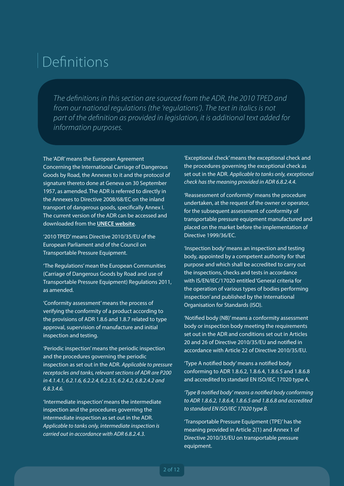## Definitions

*The definitions in this section are sourced from the ADR, the 2010 TPED and from our national regulations (the 'regulations'). The text in italics is not part of the definition as provided in legislation, it is additional text added for information purposes.*

The 'ADR' means the European Agreement Concerning the International Carriage of Dangerous Goods by Road, the Annexes to it and the protocol of signature thereto done at Geneva on 30 September 1957, as amended. The ADR is referred to directly in the Annexes to Directive 2008/68/EC on the inland transport of dangerous goods, specifically Annex I. The current version of the ADR can be accessed and downloaded from the **[UNECE website](https://www.unece.org/trans/danger/danger.html)**.

'2010 TPED' means Directive 2010/35/EU of the European Parliament and of the Council on Transportable Pressure Equipment.

'The Regulations' mean the European Communities (Carriage of Dangerous Goods by Road and use of Transportable Pressure Equipment) Regulations 2011, as amended.

'Conformity assessment' means the process of verifying the conformity of a product according to the provisions of ADR 1.8.6 and 1.8.7 related to type approval, supervision of manufacture and initial inspection and testing.

'Periodic inspection' means the periodic inspection and the procedures governing the periodic inspection as set out in the ADR. *Applicable to pressure receptacles and tanks, relevant sections of ADR are P200 in 4.1.4.1, 6.2.1.6, 6.2.2.4, 6.2.3.5, 6.2.4.2, 6.8.2.4.2 and 6.8.3.4.6.*

'Intermediate inspection' means the intermediate inspection and the procedures governing the intermediate inspection as set out in the ADR. *Applicable to tanks only, intermediate inspection is carried out in accordance with ADR 6.8.2.4.3.* 

'Exceptional check' means the exceptional check and the procedures governing the exceptional check as set out in the ADR. *Applicable to tanks only, exceptional check has the meaning provided in ADR 6.8.2.4.4.* 

'Reassessment of conformity' means the procedure undertaken, at the request of the owner or operator, for the subsequent assessment of conformity of transportable pressure equipment manufactured and placed on the market before the implementation of Directive 1999/36/EC.

'Inspection body' means an inspection and testing body, appointed by a competent authority for that purpose and which shall be accredited to carry out the inspections, checks and tests in accordance with IS/EN/IEC/17020 entitled 'General criteria for the operation of various types of bodies performing inspection' and published by the International Organisation for Standards (ISO).

'Notified body (NB)' means a conformity assessment body or inspection body meeting the requirements set out in the ADR and conditions set out in Articles 20 and 26 of Directive 2010/35/EU and notified in accordance with Article 22 of Directive 2010/35/EU.

'Type A notified body' means a notified body conforming to ADR 1.8.6.2, 1.8.6.4, 1.8.6.5 and 1.8.6.8 and accredited to standard EN ISO/IEC 17020 type A.

*'Type B notified body' means a notified body conforming to ADR 1.8.6.2, 1.8.6.4, 1.8.6.5 and 1.8.6.8 and accredited to standard EN ISO/IEC 17020 type B.* 

'Transportable Pressure Equipment (TPE)' has the meaning provided in Article 2(1) and Annex 1 of Directive 2010/35/EU on transportable pressure equipment.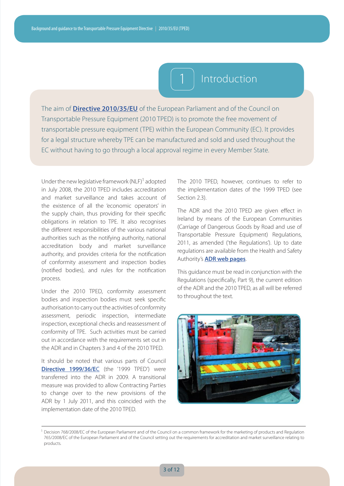

### The aim of **[Directive 2010/35/EU](https://eur-lex.europa.eu/LexUriServ/LexUriServ.do?uri=OJ:L:2010:165:0001:0018:EN:PDF)** of the European Parliament and of the Council on Transportable Pressure Equipment (2010 TPED) is to promote the free movement of transportable pressure equipment (TPE) within the European Community (EC). It provides for a legal structure whereby TPE can be manufactured and sold and used throughout the EC without having to go through a local approval regime in every Member State.

Under the new legislative framework (NLF)<sup>1</sup> adopted in July 2008, the 2010 TPED includes accreditation and market surveillance and takes account of the existence of all the 'economic operators' in the supply chain, thus providing for their specific obligations in relation to TPE. It also recognises the different responsibilities of the various national authorities such as the notifying authority, national accreditation body and market surveillance authority, and provides criteria for the notification of conformity assessment and inspection bodies (notified bodies), and rules for the notification process.

Under the 2010 TPED, conformity assessment bodies and inspection bodies must seek specific authorisation to carry out the activities of conformity assessment, periodic inspection, intermediate inspection, exceptional checks and reassessment of conformity of TPE. Such activities must be carried out in accordance with the requirements set out in the ADR and in Chapters 3 and 4 of the 2010 TPED.

It should be noted that various parts of Council **[Directive 1999/36/E](https://eur-lex.europa.eu/legal-content/EN/TXT/PDF/?uri=CELEX:31999L0036&from=EN)**C (the '1999 TPED') were transferred into the ADR in 2009. A transitional measure was provided to allow Contracting Parties to change over to the new provisions of the ADR by 1 July 2011, and this coincided with the implementation date of the 2010 TPED.

The 2010 TPED, however, continues to refer to the implementation dates of the 1999 TPED (see Section 2.3).

The ADR and the 2010 TPED are given effect in Ireland by means of the European Communities (Carriage of Dangerous Goods by Road and use of Transportable Pressure Equipment) Regulations, 2011, as amended ('the Regulations'). Up to date regulations are available from the Health and Safety Authority's **[ADR web pages](https://www.hsa.ie/eng/Your_Industry/ADR_-_Carriage_of_Dangerous_Goods_by_Road/ADR_General_Information/Legislation/)**.

This guidance must be read in conjunction with the Regulations (specifically, Part 9), the current edition of the ADR and the 2010 TPED, as all will be referred to throughout the text.



<sup>&</sup>lt;sup>1</sup> Decision 768/2008/EC of the European Parliament and of the Council on a common framework for the marketing of products and Regulation 765/2008/EC of the European Parliament and of the Council setting out the requirements for accreditation and market surveillance relating to products.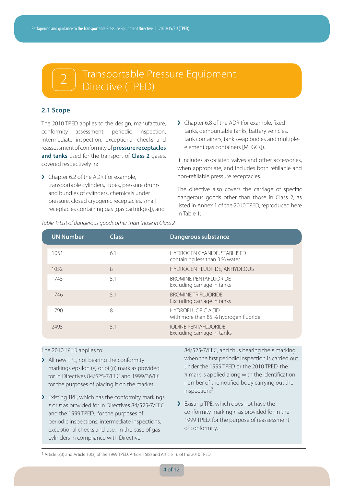# 2 Transportable Pressure Equipment

#### **2.1 Scope**

The 2010 TPED applies to the design, manufacture, conformity assessment, periodic inspection, intermediate inspection, exceptional checks and reassessment of conformity of **pressure receptacles and tanks** used for the transport of **Class 2** gases, covered respectively in:

- > Chapter 6.2 of the ADR (for example, transportable cylinders, tubes, pressure drums and bundles of cylinders, chemicals under pressure, closed cryogenic receptacles, small receptacles containing gas [gas cartridges]), and
- > Chapter 6.8 of the ADR (for example, fixed tanks, demountable tanks, battery vehicles, tank containers, tank swap bodies and multipleelement gas containers [MEGCs]).

It includes associated valves and other accessories, when appropriate, and includes both refillable and non-refillable pressure receptacles.

The directive also covers the carriage of specific dangerous goods other than those in Class 2, as listed in Annex 1 of the 2010 TPED, reproduced here in Table 1:

| <b>UN Number</b> | <b>Class</b> | Dangerous substance                                               |
|------------------|--------------|-------------------------------------------------------------------|
| 1051             | 6.1          | HYDROGEN CYANIDE, STABILISED<br>containing less than 3 % water    |
| 1052             | 8            | HYDROGEN FLUORIDE, ANHYDROUS                                      |
| 1745             | 5.1          | <b>BROMINE PENTAFLUORIDE</b><br>Excluding carriage in tanks       |
| 1746             | 5.1          | <b>BROMINE TRIFLUORIDE</b><br>Excluding carriage in tanks         |
| 1790             | 8            | <b>HYDROFLUORIC ACID</b><br>with more than 85 % hydrogen fluoride |
| 2495             | 5.1          | <b>IODINE PENTAFLUORIDE</b><br>Excluding carriage in tanks        |

*Table 1: List of dangerous goods other than those in Class 2*

#### The 2010 TPED applies to:

- › All new TPE, not bearing the conformity markings epsilon (ε) or pi  $(π)$  mark as provided for in Directives 84/525-7/EEC and 1999/36/EC for the purposes of placing it on the market;
- > Existing TPE, which has the conformity markings ε or π as provided for in Directives 84/525-7/EEC and the 1999 TPED, for the purposes of periodic inspections, intermediate inspections, exceptional checks and use. In the case of gas cylinders in compliance with Directive

84/525-7/EEC, and thus bearing the ε marking, when the first periodic inspection is carried out under the 1999 TPED or the 2010 TPED, the  $\pi$  mark is applied along with the identification number of the notified body carrying out the inspection;2

> Existing TPE, which does not have the conformity marking  $\pi$  as provided for in the 1999 TPED, for the purpose of reassessment of conformity.

<sup>&</sup>lt;sup>2</sup> Article 6(3) and Article 10(3) of the 1999 TPED; Article 15(8) and Article 16 of the 2010 TPED.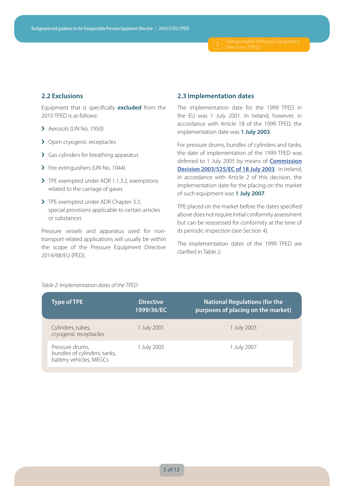#### **2.2 Exclusions**

Equipment that is specifically **excluded** from the 2010 TPED is as follows:

- > Aerosols (UN No. 1950)
- > Open cryogenic receptacles
- › Gas cylinders for breathing apparatus
- > Fire extinguishers (UN No. 1044)
- > TPE exempted under ADR 1.1.3.2, exemptions related to the carriage of gases
- > TPE exempted under ADR Chapter 3.3, special provisions applicable to certain articles or substances

Pressure vessels and apparatus used for nontransport related applications will usually be within the scope of the Pressure Equipment Directive 2014/68/EU (PED).

#### **2.3 Implementation dates**

The implementation date for the 1999 TPED in the EU was 1 July 2001. In Ireland, however, in accordance with Article 18 of the 1999 TPED, the implementation date was **1 July 2003**.

For pressure drums, bundles of cylinders and tanks, the date of implementation of the 1999 TPED was deferred to 1 July 2005 by means of **[Commission](http://www.minind.ro/domenii_sectoare/leg_armonizata/transport/Decision_2003_525_l_18320030722en00450045.pdf)  [Decision 2003/525/EC of 18 July 2003](http://www.minind.ro/domenii_sectoare/leg_armonizata/transport/Decision_2003_525_l_18320030722en00450045.pdf)**. In Ireland, in accordance with Article 2 of this decision, the implementation date for the placing on the market of such equipment was **1 July 2007**.

TPE placed on the market before the dates specified above does not require initial conformity assessment but can be reassessed for conformity at the time of its periodic inspection (see Section 4).

The implementation dates of the 1999 TPED are clarified in Table 2:

#### *Table 2: Implementation dates of the TPED*

| Type of TPE                                                                | <b>Directive</b><br>1999/36/EC | <b>National Regulations (for the</b><br>purposes of placing on the market) |
|----------------------------------------------------------------------------|--------------------------------|----------------------------------------------------------------------------|
| Cylinders, tubes,<br>cryogenic receptacles                                 | 1 July 2001                    | 1 July 2003                                                                |
| Pressure drums,<br>bundles of cylinders, tanks,<br>battery vehicles, MEGCs | 1 July 2005                    | 1 July 2007                                                                |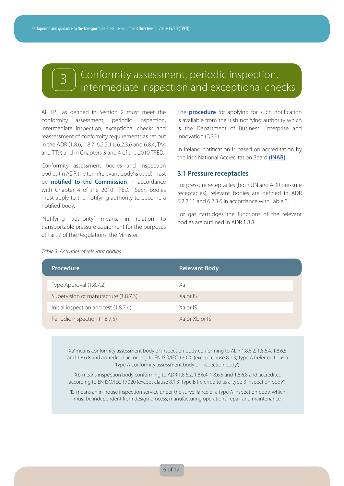### Conformity assessment, periodic inspection, intermediate inspection and exceptional checks

All TPE as defined in Section 2 must meet the conformity assessment, periodic inspection, intermediate inspection, exceptional checks and reassessment of conformity requirements as set out in the ADR (1.8.6, 1.8.7, 6.2.2.11, 6.2.3.6 and 6.8.4, TA4 and TT9) and in Chapters 3 and 4 of the 2010 TPED.

Conformity assessment bodies and inspection bodies (in ADR the term 'relevant body' is used) must be **notified to the Commission** in accordance with Chapter 4 of the 2010 TPED. Such bodies must apply to the notifying authority to become a notified body.

'Notifying authority' means, in relation to transportable pressure equipment for the purposes of Part 9 of the Regulations, the Minister.

The **[procedure](https://dbei.gov.ie/en/Publications/Procedure-for-the-appointment-of-a-Notified-Body.html)** for applying for such notification is available from the Irish notifying authority which is the Department of Business, Enterprise and Innovation (DBEI).

In Ireland notification is based on accreditation by the Irish National Accreditation Board **[\(INAB\)](https://www.inab.ie)**.

#### **3.1 Pressure receptacles**

For pressure receptacles (both UN and ADR pressure receptacles), relevant bodies are defined in ADR 6.2.2.11 and 6.2.3.6 in accordance with Table 3.

For gas cartridges the functions of the relevant bodies are outlined in ADR 1.8.8.

#### *Table 3: Activities of relevant bodies*

| Procedure                             | <b>Relevant Body</b> |
|---------------------------------------|----------------------|
| Type Approval (1.8.7.2)               | Xa                   |
| Supervision of manufacture (1.8.7.3)  | $Xa$ or $S$          |
| Initial inspection and test (1.8.7.4) | Xa or IS             |
| Periodic inspection (1.8.7.5)         | Xa or Xb or IS       |

Xa' means conformity assessment body or inspection body conforming to ADR 1.8.6.2, 1.8.6.4, 1.8.6.5 and 1.8.6.8 and accredited according to EN ISO/IEC 17020 (except clause 8.1.3) type A (referred to as a 'type A conformity assessment body or inspection body').

'Xb' means inspection body conforming to ADR 1.8.6.2, 1.8.6.4, 1.8.6.5 and 1.8.6.8 and accredited according to EN ISO/IEC 17020 (except clause 8.1.3) type B (referred to as a 'type B inspection body').

'IS' means an in-house inspection service under the surveillance of a type A inspection body, which must be independent from design process, manufacturing operations, repair and maintenance.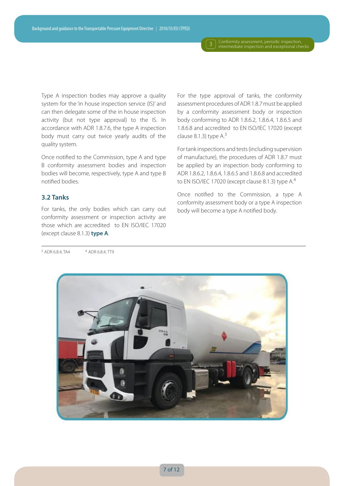3 Conformity assessment, periodic inspection,<br>intermediate inspection and exceptional checks

Type A inspection bodies may approve a quality system for the 'in house inspection service (IS)' and can then delegate some of the in house inspection activity (but not type approval) to the IS. In accordance with ADR 1.8.7.6, the type A inspection body must carry out twice yearly audits of the quality system.

Once notified to the Commission, type A and type B conformity assessment bodies and inspection bodies will become, respectively, type A and type B notified bodies.

#### **3.2 Tanks**

For tanks, the only bodies which can carry out conformity assessment or inspection activity are those which are accredited to EN ISO/IEC 17020 (except clause 8.1.3) **type A**.

For the type approval of tanks, the conformity assessment procedures of ADR 1.8.7 must be applied by a conformity assessment body or inspection body conforming to ADR 1.8.6.2, 1.8.6.4, 1.8.6.5 and 1.8.6.8 and accredited to EN ISO/IEC 17020 (except clause 8.1.3) type  $A<sup>3</sup>$ 

For tank inspections and tests (including supervision of manufacture), the procedures of ADR 1.8.7 must be applied by an inspection body conforming to ADR 1.8.6.2, 1.8.6.4, 1.8.6.5 and 1.8.6.8 and accredited to EN ISO/IEC 17020 (except clause 8.1.3) type A.<sup>4</sup>

Once notified to the Commission, a type A conformity assessment body or a type A inspection body will become a type A notified body.



 $3$  ADR 6.8.4, TA4  $4$  ADR 6.8.4, TT9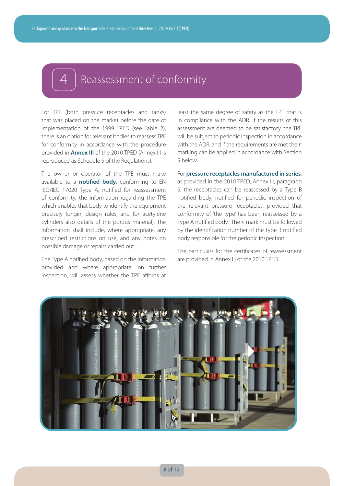### Reassessment of conformity

For TPE (both pressure receptacles and tanks) that was placed on the market before the date of implementation of the 1999 TPED (see Table 2), there is an option for relevant bodies to reassess TPE for conformity in accordance with the procedure provided in **Annex III** of the 2010 TPED (Annex III is reproduced as Schedule 5 of the Regulations).

The owner or operator of the TPE must make available to a **notified body**, conforming to EN ISO/IEC 17020 Type A, notified for reassessment of conformity, the information regarding the TPE which enables that body to identify the equipment precisely (origin, design rules, and for acetylene cylinders also details of the porous material). The information shall include, where appropriate, any prescribed restrictions on use, and any notes on possible damage or repairs carried out.

The Type A notified body, based on the information provided and where appropriate, on further inspection, will assess whether the TPE affords at

least the same degree of safety as the TPE that is in compliance with the ADR. If the results of this assessment are deemed to be satisfactory, the TPE will be subject to periodic inspection in accordance with the ADR, and if the requirements are met the  $\pi$ marking can be applied in accordance with Section 5 below.

For **pressure receptacles manufactured in series**, as provided in the 2010 TPED, Annex III, paragraph 5, the receptacles can be reassessed by a Type B notified body, notified for periodic inspection of the relevant pressure receptacles, provided that conformity of 'the type' has been reassessed by a Type A notified body. The  $\pi$  mark must be followed by the identification number of the Type B notified body responsible for the periodic inspection.

The particulars for the certificates of reassessment are provided in Annex III of the 2010 TPED.

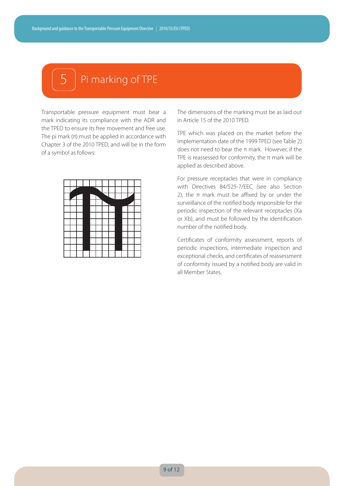## Pi marking of TPE

Transportable pressure equipment must bear a mark indicating its compliance with the ADR and the TPED to ensure its free movement and free use. The pi mark  $(n)$  must be applied in accordance with Chapter 3 of the 2010 TPED, and will be in the form of a symbol as follows:



The dimensions of the marking must be as laid out in Article 15 of the 2010 TPED.

TPE which was placed on the market before the implementation date of the 1999 TPED (see Table 2) does not need to bear the π mark. However, if the TPE is reassessed for conformity, the  $\pi$  mark will be applied as described above.

For pressure receptacles that were in compliance with Directives 84/525-7/EEC (see also Section 2), the  $π$  mark must be affixed by or under the surveillance of the notified body responsible for the periodic inspection of the relevant receptacles (Xa or Xb), and must be followed by the identification number of the notified body.

Certificates of conformity assessment, reports of periodic inspections, intermediate inspection and exceptional checks, and certificates of reassessment of conformity issued by a notified body are valid in all Member States.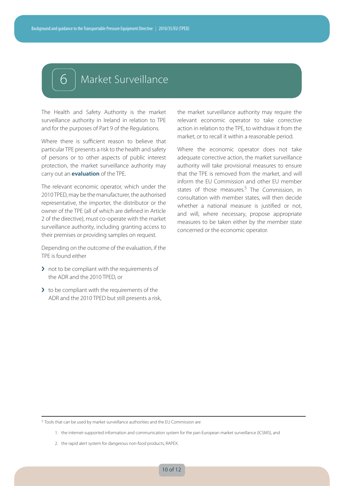## 6 Market Surveillance

The Health and Safety Authority is the market surveillance authority in Ireland in relation to TPE and for the purposes of Part 9 of the Regulations.

Where there is sufficient reason to believe that particular TPE presents a risk to the health and safety of persons or to other aspects of public interest protection, the market surveillance authority may carry out an **evaluation** of the TPE.

The relevant economic operator, which under the 2010 TPED, may be the manufacturer, the authorised representative, the importer, the distributor or the owner of the TPE (all of which are defined in Article 2 of the directive), must co-operate with the market surveillance authority, including granting access to their premises or providing samples on request.

Depending on the outcome of the evaluation, if the TPE is found either

- > not to be compliant with the requirements of the ADR and the 2010 TPED, or
- $\sum$  to be compliant with the requirements of the ADR and the 2010 TPED but still presents a risk,

the market surveillance authority may require the relevant economic operator to take corrective action in relation to the TPE, to withdraw it from the market, or to recall it within a reasonable period.

Where the economic operator does not take adequate corrective action, the market surveillance authority will take provisional measures to ensure that the TPE is removed from the market, and will inform the EU Commission and other EU member states of those measures.<sup>5</sup> The Commission, in consultation with member states, will then decide whether a national measure is justified or not, and will, where necessary, propose appropriate measures to be taken either by the member state concerned or the economic operator.

<sup>5</sup> Tools that can be used by market surveillance authorities and the EU Commission are

1. the internet-supported information and communication system for the pan-European market surveillance (ICSMS), and

<sup>2.</sup> the rapid alert system for dangerous non-food products, RAPEX.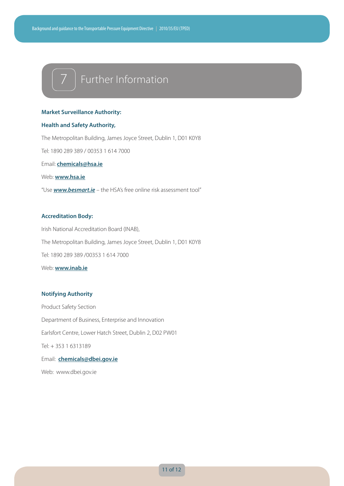## 7 Further Information

#### **Market Surveillance Authority:**

#### **Health and Safety Authority,**

The Metropolitan Building, James Joyce Street, Dublin 1, D01 K0Y8 Tel: 1890 289 389 / 00353 1 614 7000 Email: **chemicals@hsa.ie**

Web: **www.hsa.ie**

"Use *www.besmart.ie* – the HSA's free online risk assessment tool"

#### **Accreditation Body:**

Irish National Accreditation Board (INAB), The Metropolitan Building, James Joyce Street, Dublin 1, D01 K0Y8 Tel: 1890 289 389 /00353 1 614 7000 Web: **www.inab.ie**

#### **Notifying Authority**

Product Safety Section Department of Business, Enterprise and Innovation Earlsfort Centre, Lower Hatch Street, Dublin 2, D02 PW01 Tel: + 353 1 6313189 Email: **chemicals@dbei.gov.ie** Web: www.dbei.gov.ie